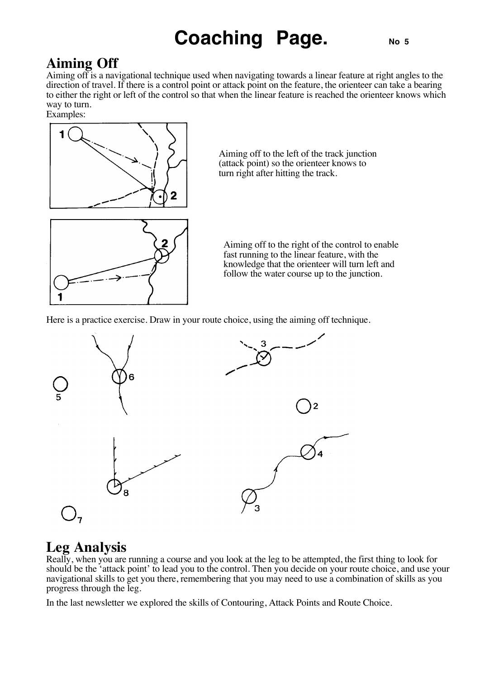## **Coaching Page.** No 5

## **Aiming Off**

Aiming off is a navigational technique used when navigating towards a linear feature at right angles to the direction of travel. If there is a control point or attack point on the feature, the orienteer can take a bearing to either the right or left of the control so that when the linear feature is reached the orienteer knows which way to turn.

Examples:



Aiming off to the left of the track junction (attack point) so the orienteer knows to turn right after hitting the track.



Aiming off to the right of the control to enable fast running to the linear feature, with the knowledge that the orienteer will turn left and follow the water course up to the junction.

Here is a practice exercise. Draw in your route choice, using the aiming off technique.



## **Leg Analysis**

Really, when you are running a course and you look at the leg to be attempted, the first thing to look for should be the 'attack point' to lead you to the control. Then you decide on your route choice, and use your navigational skills to get you there, remembering that you may need to use a combination of skills as you progress through the leg.

In the last newsletter we explored the skills of Contouring, Attack Points and Route Choice.